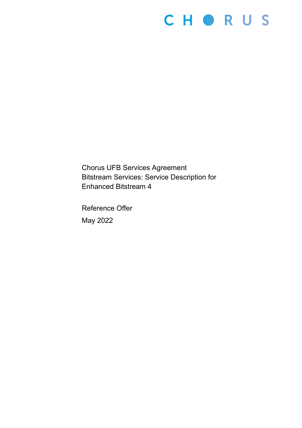# CHORUS

Chorus UFB Services Agreement Bitstream Services: Service Description for Enhanced Bitstream 4

Reference Offer May 2022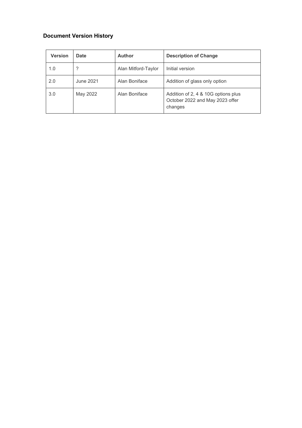# **Document Version History**

| <b>Version</b> | <b>Date</b> | <b>Author</b>       | <b>Description of Change</b>                                                      |
|----------------|-------------|---------------------|-----------------------------------------------------------------------------------|
| 1.0            |             | Alan Mitford-Taylor | Initial version                                                                   |
| 2.0            | June 2021   | Alan Boniface       | Addition of glass only option                                                     |
| 3.0            | May 2022    | Alan Boniface       | Addition of 2, 4 & 10G options plus<br>October 2022 and May 2023 offer<br>changes |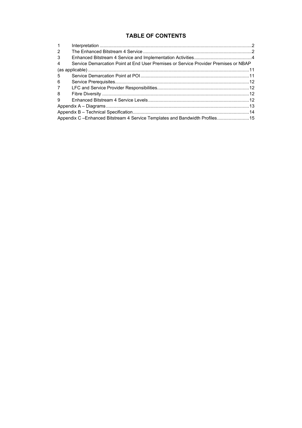# **TABLE OF CONTENTS**

| $\mathbf{1}$   |                                                                                     |  |
|----------------|-------------------------------------------------------------------------------------|--|
| $\mathcal{P}$  |                                                                                     |  |
| 3              |                                                                                     |  |
| $\overline{4}$ | Service Demarcation Point at End User Premises or Service Provider Premises or NBAP |  |
|                |                                                                                     |  |
| -5             |                                                                                     |  |
| 6              |                                                                                     |  |
| $7^{\circ}$    |                                                                                     |  |
| 8              |                                                                                     |  |
| 9              |                                                                                     |  |
|                |                                                                                     |  |
|                |                                                                                     |  |
|                | Appendix C - Enhanced Bitstream 4 Service Templates and Bandwidth Profiles15        |  |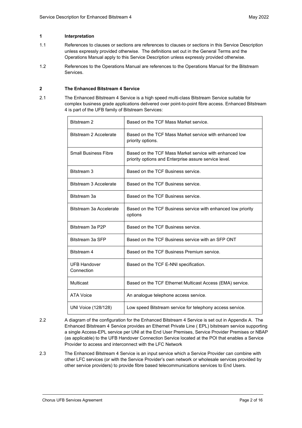# <span id="page-3-0"></span>**1 Interpretation**

- 1.1 References to clauses or sections are references to clauses or sections in this Service Description unless expressly provided otherwise. The definitions set out in the General Terms and the Operations Manual apply to this Service Description unless expressly provided otherwise.
- 1.2 References to the Operations Manual are references to the Operations Manual for the Bitstream Services.

# <span id="page-3-1"></span>**2 The Enhanced Bitstream 4 Service**

2.1 The Enhanced Bitstream 4 Service is a high speed multi-class Bitstream Service suitable for complex business grade applications delivered over point-to-point fibre access. Enhanced Bitstream 4 is part of the UFB family of Bitstream Services:

| Bitstream 2                       | Based on the TCF Mass Market service.                                                                           |
|-----------------------------------|-----------------------------------------------------------------------------------------------------------------|
| Bitstream 2 Accelerate            | Based on the TCF Mass Market service with enhanced low<br>priority options.                                     |
| <b>Small Business Fibre</b>       | Based on the TCF Mass Market service with enhanced low<br>priority options and Enterprise assure service level. |
| Bitstream 3                       | Based on the TCF Business service.                                                                              |
| Bitstream 3 Accelerate            | Based on the TCF Business service.                                                                              |
| Bitstream 3a                      | Based on the TCF Business service.                                                                              |
| Bitstream 3a Accelerate           | Based on the TCF Business service with enhanced low priority<br>options                                         |
| Bitstream 3a P2P                  | Based on the TCF Business service.                                                                              |
| Bitstream 3a SFP                  | Based on the TCF Business service with an SFP ONT                                                               |
| Bitstream 4                       | Based on the TCF Business Premium service.                                                                      |
| <b>UFB Handover</b><br>Connection | Based on the TCF E-NNI specification.                                                                           |
| <b>Multicast</b>                  | Based on the TCF Ethernet Multicast Access (EMA) service.                                                       |
| <b>ATA Voice</b>                  | An analogue telephone access service.                                                                           |
| UNI Voice (128/128)               | Low speed Bitstream service for telephony access service.                                                       |

- 2.2 A diagram of the configuration for the Enhanced Bitstream 4 Service is set out in Appendix A. The Enhanced Bitstream 4 Service provides an Ethernet Private Line ( EPL) bitstream service supporting a single Access-EPL service per UNI at the End User Premises, Service Provider Premises or NBAP (as applicable) to the UFB Handover Connection Service located at the POI that enables a Service Provider to access and interconnect with the LFC Network
- 2.3 The Enhanced Bitstream 4 Service is an input service which a Service Provider can combine with other LFC services (or with the Service Provider's own network or wholesale services provided by other service providers) to provide fibre based telecommunications services to End Users.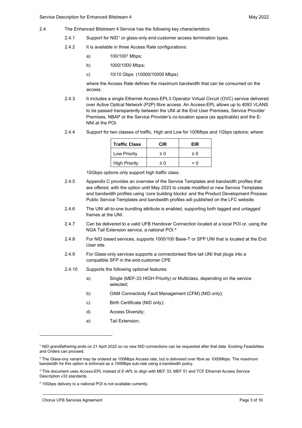- 2.4 The Enhanced Bitstream 4 Service has the following key characteristics:
	- 2.4.[1](#page-4-0) Support for  $NID<sup>1</sup>$  or glass-only end-customer access termination types.
	- 2.4.2 It is available in three Access Rate configurations:
		- a) 100/100[2](#page-4-1) Mbps;
		- b) 1000/1000 Mbps;
		- c) 10/10 Gbps (10000/10000 Mbps)

where the Access Rate defines the maximum bandwidth that can be consumed on the access.

- 2.4.3 It includes a single Ethernet Access-EPL[3](#page-4-2) Operator Virtual Circuit (OVC) service delivered over Active Optical Network (P2P) fibre access. An Access-EPL allows up to 4093 VLANS to be passed transparently between the UNI at the End User Premises, Service Provider Premises, NBAP or the Service Provider's co-location space (as applicable) and the E-NNI at the POI.
- 2.4.4 Support for two classes of traffic, High and Low for 100Mbps and 1Gbps options; where:

| <b>Traffic Class</b> | CIR | FIR   |
|----------------------|-----|-------|
| Low Priority         | ≥ 0 | ≥ ∩   |
| <b>High Priority</b> | ≥ ∩ | $= 0$ |

10Gbps options only support high traffic class.

- 2.4.5 Appendix C provides an overview of the Service Templates and bandwidth profiles that are offered, with the option until May 2023 to create modified or new Service Templates and bandwidth profiles using 'core building blocks' and the Product Development Process. Public Service Templates and bandwidth profiles will published on the LFC website.
- 2.4.6 The UNI all-to-one bundling attribute is enabled, supporting both tagged and untagged frames at the UNI.
- 2.4.7 Can be delivered to a valid UFB Handover Connection located at a local POI or, using the NGA Tail Extension service, a national POI.[4](#page-4-3)
- 2.4.8 For NID based services, supports 1000/100 Base-T or SFP UNI that is located at the End User site.
- 2.4.9 For Glass-only services supports a connectorised fibre tail UNI that plugs into a compatible SFP in the end-customer CPE
- 2.4.10 Supports the following optional features:
	- a) Single (MEF-33 HIGH Priority) or Multiclass, depending on the service selected;
	- b) OAM Connectivity Fault Management (CFM) (NID only);
	- c) Birth Certificate (NID only);
	- d) Access Diversity;
	- e) Tail Extension;

<span id="page-4-0"></span><sup>1</sup> NID grandfathering ends on 21 April 2022 so no new NID connections can be requested after that date. Existing Feasibilites and Orders can proceed.

<span id="page-4-1"></span> $2$  The Glass-ony variant may be ordered as 100Mbps Access rate, but is delivered over fibre as 1000Mbps. The maximum bandwidth for this option is enforced as a 100Mbps sub-rate using a bandwidth policy.

<span id="page-4-2"></span><sup>3</sup> This document uses *Access-EPL* instead of *E-APL* to align with MEF 33, MEF 51 and TCF Ethernet Access Service Description v33 standards.

<span id="page-4-3"></span><sup>4</sup> 10Gbps delivery to a national POI is not available currently.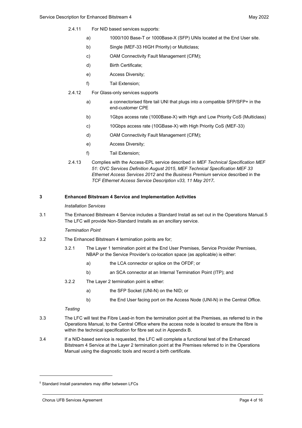- 2.4.11 For NID based services supports:
	- a) 1000/100 Base-T or 1000Base-X (SFP) UNIs located at the End User site.
	- b) Single (MEF-33 HIGH Priority) or Multiclass;
	- c) OAM Connectivity Fault Management (CFM);
	- d) Birth Certificate;
	- e) Access Diversity;
	- f) Tail Extension;
- 2.4.12 For Glass-only services supports
	- a) a connectorised fibre tail UNI that plugs into a compatible SFP/SFP+ in the end-customer CPE
	- b) 1Gbps access rate (1000Base-X) with High and Low Priority CoS (Multiclass)
	- c) 10Gbps access rate (10GBase-X) with High Priority CoS (MEF-33)
	- d) OAM Connectivity Fault Management (CFM);
	- e) Access Diversity;
	- f) Tail Extension;
- 2.4.13 Complies with the Access-EPL service described in *MEF Technical Specification MEF 51: OVC Services Definition August 2015*, *MEF Technical Specification MEF 33 Ethernet Access Services 2012* and the *Business Premium* service described in the *TCF Ethernet Access Service Description v33, 11 May 2017***.**

# <span id="page-5-0"></span>**3 Enhanced Bitstream 4 Service and Implementation Activities**

# *Installation Services*

3.1 The Enhanced Bitstream 4 Service includes a Standard Install as set out in the Operations Manual.[5](#page-5-1) The LFC will provide Non-Standard Installs as an ancillary service.

# *Termination Point*

- 3.2 The Enhanced Bitstream 4 termination points are for;
	- 3.2.1 The Layer 1 termination point at the End User Premises, Service Provider Premises, NBAP or the Service Provider's co-location space (as applicable) is either:
		- a) the LCA connector or splice on the OFDF; or
		- b) an SCA connector at an Internal Termination Point (ITP); and
	- 3.2.2 The Layer 2 termination point is either:
		- a) the SFP Socket (UNI-N) on the NID; or
		- b) the End User facing port on the Access Node (UNI-N) in the Central Office.

# *Testing*

- 3.3 The LFC will test the Fibre Lead-in from the termination point at the Premises, as referred to in the Operations Manual, to the Central Office where the access node is located to ensure the fibre is within the technical specification for fibre set out in Appendix B.
- 3.4 If a NID-based service is requested, the LFC will complete a functional test of the Enhanced Bitstream 4 Service at the Layer 2 termination point at the Premises referred to in the Operations Manual using the diagnostic tools and record a birth certificate.

<span id="page-5-1"></span><sup>5</sup> Standard Install parameters may differ between LFCs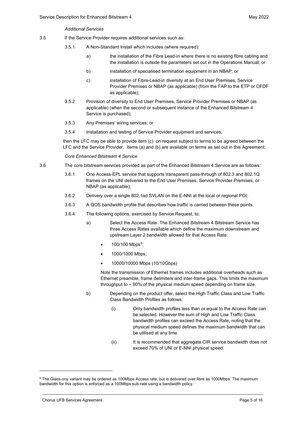#### *Additional Services*

- 3.5 If the Service Provider requires additional services such as:
	- 3.5.1 A Non-Standard Install which includes (where required):
		- a) the installation of the Fibre Lead-in where there is no existing fibre cabling and the installation is outside the parameters set out in the Operations Manual; or
		- b) installation of specialised termination equipment in an NBAP; or
		- c) installation of Fibre-Lead-in diversity at an End User Premises, Service Provider Premises or NBAP (as applicable) (from the FAP to the ETP or OFDF as applicable);
	- 3.5.2 Provision of diversity to End User Premises, Service Provider Premises or NBAP (as applicable) (when the second or subsequent instance of the Enhanced Bitstream 4 Service is purchased);
	- 3.5.3 Any Premises' wiring services; or
	- 3.5.4 Installation and testing of Service Provider equipment and services,

then the LFC may be able to provide item (c) on request subject to terms to be agreed between the LFC and the Service Provider. Items (a) and (b) are available on terms as set out in this Agreement.

*Core Enhanced Bitstream 4 Service*

- 3.6 The core bitstream services provided as part of the Enhanced Bitstream 4 Service are as follows:
	- 3.6.1 One Access-EPL service that supports transparent pass-through of 802.3 and 802.1Q frames on the UNI delivered to the End User Premises, Service Provider Premises, or NBAP (as applicable);
	- 3.6.2 Delivery over a single 802.1ad SVLAN on the E-NNI at the local or regional POI;
	- 3.6.3 A QOS bandwidth profile that describes how traffic is carried between these points.
	- 3.6.4 The following options, exercised by Service Request, to:
		- a) Select the Access Rate. The Enhanced Bitstream 4 Bitstream Service has three Access Rates available which define the maximum downstream and upstream Layer 2 bandwidth allowed for that Access Rate:
			- $100/100$  Mbps<sup>6</sup>;
			- 1000/1000 Mbps;
			- 10000/10000 Mbps (10/10Gbps)

Note the transmission of Ethernet frames includes additional overheads such as Ethernet preamble, frame delimiters and inter-frame gaps. This limits the maximum throughput to  $\sim$  90% of the physical medium speed depending on frame size.

- b) Depending on the product offer, select the High Traffic Class and Low Traffic Class Bandwidth Profiles as follows:
	- (i) Only bandwidth profiles less than or equal to the Access Rate can be selected. However the sum of High and Low Traffic Class bandwidth profiles can exceed the Access Rate, noting that the physical medium speed defines the maximum bandwidth that can be utilised at any time.
	- (ii) It is recommended that aggregate CIR service bandwidth does not exceed 70% of UNI or E-NNI physical speed.

<span id="page-6-0"></span><sup>&</sup>lt;sup>6</sup> The Glass-ony variant may be ordered as 100Mbps Access rate, but is delivered over fibre as 1000Mbps. The maximum bandwidth for this option is enforced as a 100Mbps sub-rate using a bandwidth policy.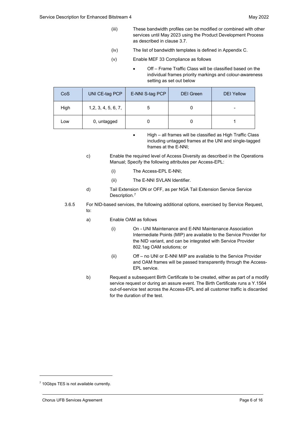- (iii) These bandwidth profiles can be modified or combined with other services until May 2023 using the Product Development Process as described in clause [3.7.](#page-10-0)
- (iv) The list of bandwidth templates is defined in Appendix C.
- (v) Enable MEF 33 Compliance as follows
	- Off Frame Traffic Class will be classified based on the individual frames priority markings and colour-awareness setting as set out below

| Co <sub>S</sub> | UNI CE-tag PCP       | E-NNI S-tag PCP | <b>DEI</b> Green | <b>DEI Yellow</b> |
|-----------------|----------------------|-----------------|------------------|-------------------|
| High            | 1, 2, 3, 4, 5, 6, 7, |                 |                  |                   |
| Low             | 0, untagged          |                 |                  |                   |

- High all frames will be classified as High Traffic Class including untagged frames at the UNI and single-tagged frames at the E-NNI;
- c) Enable the required level of Access Diversity as described in the Operations Manual; Specify the following attributes per Access-EPL:
	- (i) The Access-EPL E-NNI;
	- (ii) The E-NNI SVLAN Identifier.
- d) Tail Extension ON or OFF, as per NGA Tail Extension Service Service Description.<sup>[7](#page-7-0)</sup>
- 3.6.5 For NID-based services, the following additional options, exercised by Service Request, to:
	- a) Enable OAM as follows
		- (i) On UNI Maintenance and E-NNI Maintenance Association Intermediate Points (MIP) are available to the Service Provider for the NID variant, and can be integrated with Service Provider 802.1ag OAM solutions; or
		- (ii) Off no UNI or E-NNI MIP are available to the Service Provider and OAM frames will be passed transparently through the Access-EPL service.
	- b) Request a subsequent Birth Certificate to be created, either as part of a modify service request or during an assure event. The Birth Certificate runs a Y.1564 out-of-service test across the Access-EPL and all customer traffic is discarded for the duration of the test.

<span id="page-7-0"></span><sup>7</sup> 10Gbps TES is not available currently.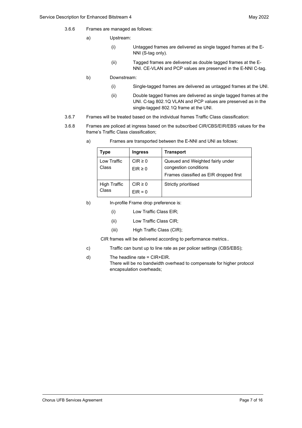- 3.6.6 Frames are managed as follows:
	- a) Upstream:
		- (i) Untagged frames are delivered as single tagged frames at the E-NNI (S-tag only).
		- (ii) Tagged frames are delivered as double tagged frames at the E-NNI. CE-VLAN and PCP values are preserved in the E-NNI C-tag.
	- b) Downstream:
		- (i) Single-tagged frames are delivered as untagged frames at the UNI.
		- (ii) Double tagged frames are delivered as single tagged frames at the UNI. C-tag 802.1Q VLAN and PCP values are preserved as in the single-tagged 802.1Q frame at the UNI.
- 3.6.7 Frames will be treated based on the individual frames Traffic Class classification:
- 3.6.8 Frames are policed at ingress based on the subscribed CIR/CBS/EIR/EBS values for the frame's Traffic Class classification;

| Type                         | <b>Ingress</b>             | <b>Transport</b>                                                                                    |
|------------------------------|----------------------------|-----------------------------------------------------------------------------------------------------|
| Low Traffic<br>Class         | $CIR \ge 0$<br>$EIR \ge 0$ | Queued and Weighted fairly under<br>congestion conditions<br>Frames classified as EIR dropped first |
| <b>High Traffic</b><br>Class | $CIR \geq 0$<br>$EIR = 0$  | Strictly prioritised                                                                                |

a) Frames are transported between the E-NNI and UNI as follows:

- b) In-profile Frame drop preference is:
	- (i) Low Traffic Class EIR;
	- (ii) Low Traffic Class CIR;
	- (iii) High Traffic Class (CIR);

CIR frames will be delivered according to performance metrics..

- c) Traffic can burst up to line rate as per policer settings (CBS/EBS);
- d) The headline rate = CIR+EIR.
	- There will be no bandwidth overhead to compensate for higher protocol encapsulation overheads;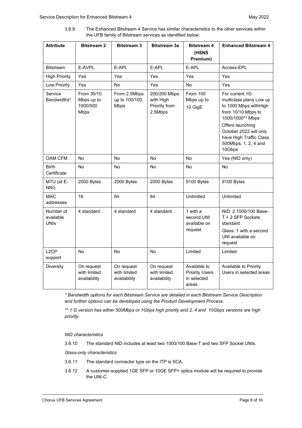3.6.9 The Enhanced Bitstream 4 Service has similar characteristics to the other services within the UFB family of Bitstream services as identified below:

| <b>Attribute</b>                      | <b>Bitstream 2</b>                                  | <b>Bitstream 3</b>                           | <b>Bitstream 3a</b><br><b>Bitstream 4</b><br>(HSNS<br>Premium) |                                                               | <b>Enhanced Bitstream 4</b>                                                                                     |
|---------------------------------------|-----------------------------------------------------|----------------------------------------------|----------------------------------------------------------------|---------------------------------------------------------------|-----------------------------------------------------------------------------------------------------------------|
| <b>Bitstream</b>                      | E-AVPL                                              | E-APL                                        | E-APL                                                          | E-APL                                                         | Access-EPL                                                                                                      |
| <b>High Priority</b>                  | Yes                                                 | Yes                                          | Yes                                                            | Yes                                                           | Yes                                                                                                             |
| Low Priority                          | Yes                                                 | No                                           | Yes                                                            | No                                                            | Yes                                                                                                             |
| Service<br>Bandwidths*                | From 30/10<br>Mbps up to<br>1000/500<br><b>Mbps</b> | From 2.5Mbps<br>up to 100/100<br><b>Mbps</b> | 200/200 Mbps<br>with High<br>Priority from<br>2.5Mbps          | <b>From 100</b><br>Mbps up to<br>10 GigE                      | For current 1G<br>multiclass plans Low up<br>to 1000 Mbps withHigh<br>from 10/10 Mbps to<br>1000/1000** Mbps    |
|                                       |                                                     |                                              |                                                                |                                                               | Offers launching<br>October 2022 will only<br>have High Traffic Class<br>500Mbps, 1, 2, 4 and<br>10Gbps         |
| OAM CFM                               | <b>No</b>                                           | No                                           | <b>No</b>                                                      | <b>No</b>                                                     | Yes (NID only)                                                                                                  |
| <b>Birth</b><br>Certificate           | No                                                  | No                                           | No                                                             | No                                                            | <b>No</b>                                                                                                       |
| MTU (at E-<br>NNI)                    | 2000 Bytes                                          | 2000 Bytes                                   | 2000 Bytes                                                     | 9100 Bytes                                                    | 9100 Bytes                                                                                                      |
| <b>MAC</b><br>addresses               | 16                                                  | 64                                           | 64                                                             | Unlimited                                                     | Unlimited                                                                                                       |
| Number of<br>available<br><b>UNIs</b> | 4 standard                                          | 4 standard                                   | 4 standard                                                     | 1 with a<br>second UNI<br>available on<br>request             | NID: 2 1000/100 Base-<br>T + 2 SFP Sockets<br>standard<br>Glass: 1 with a second<br>UNI available on<br>request |
| L <sub>2</sub> CP<br>support          | <b>No</b>                                           | <b>No</b>                                    | <b>No</b>                                                      | Limited                                                       | Limited                                                                                                         |
| <b>Diversity</b>                      | On request<br>with limited<br>availability          | On request<br>with limited<br>availability   | On request<br>with limited<br>availability                     | Available to<br><b>Priority Users</b><br>in selected<br>areas | Available to Priority<br>Users in selected areas                                                                |

*\* Bandwidth options for each Bitstream Service are detailed in each Bitstream Service Description and further options can be developed using the Product Development Process.*

*\*\* 1 G version has either 500Mbps or 1Gbps high priority and 2, 4 and 10Gbps versions are high priority.*

*NID characteristics*

3.6.10 The standard NID includes at least two 1000/100 Base-T and two SFP Socket UNIs.

*Glass-only characteristics*

- 3.6.11 The standard connector type on the ITP is SCA.
- 3.6.12 A customer-supplied 1GE SFP or 10GE SFP+ optics module will be required to provide the UNI-C.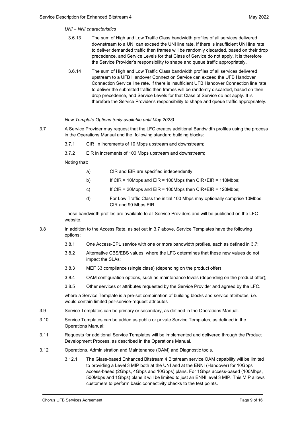# *UNI – NNI characteristics*

- 3.6.13 The sum of High and Low Traffic Class bandwidth profiles of all services delivered downstream to a UNI can exceed the UNI line rate. If there is insufficient UNI line rate to deliver demanded traffic then frames will be randomly discarded, based on their drop precedence, and Service Levels for that Class of Service do not apply. It is therefore the Service Provider's responsibility to shape and queue traffic appropriately.
- 3.6.14 The sum of High and Low Traffic Class bandwidth profiles of all services delivered upstream to a UFB Handover Connection Service can exceed the UFB Handover Connection Service line rate. If there is insufficient UFB Handover Connection line rate to deliver the submitted traffic then frames will be randomly discarded, based on their drop precedence, and Service Levels for that Class of Service do not apply. It is therefore the Service Provider's responsibility to shape and queue traffic appropriately.

# *New Template Options (only available until May 2023)*

- <span id="page-10-0"></span>3.7 A Service Provider may request that the LFC creates additional Bandwidth profiles using the process in the Operations Manual and the following standard building blocks:
	- 3.7.1 CIR in increments of 10 Mbps upstream and downstream;
	- 3.7.2 EIR in increments of 100 Mbps upstream and downstream;

Noting that:

- a) CIR and EIR are specified independently;
- b) If CIR = 10Mbps and EIR = 100Mbps then CIR+EIR = 110Mbps;
- c) If CIR = 20Mbps and EIR = 100Mbps then  $CIR + EIR = 120Mbps$ ;
- d) For Low Traffic Class the initial 100 Mbps may optionally comprise 10Mbps CIR and 90 Mbps EIR.

These bandwidth profiles are available to all Service Providers and will be published on the LFC website.

- 3.8 In addition to the Access Rate, as set out in 3.7 above, Service Templates have the following options:
	- 3.8.1 One Access-EPL service with one or more bandwidth profiles, each as defined in [3.7:](#page-10-0)
	- 3.8.2 Alternative CBS/EBS values, where the LFC determines that these new values do not impact the SLAs;
	- 3.8.3 MEF 33 compliance (single class) (depending on the product offer)
	- 3.8.4 OAM configuration options, such as maintenance levels (depending on the product offer);
	- 3.8.5 Other services or attributes requested by the Service Provider and agreed by the LFC.

where a Service Template is a pre-set combination of building blocks and service attributes, i.e. would contain limited per-service-request attributes

- 3.9 Service Templates can be primary or secondary, as defined in the Operations Manual.
- 3.10 Service Templates can be added as public or private Service Templates, as defined in the Operations Manual:
- 3.11 Requests for additional Service Templates will be implemented and delivered through the Product Development Process, as described in the Operations Manual.
- 3.12 Operations, Administration and Maintenance (OAM) and Diagnostic tools.
	- 3.12.1 The Glass-based Enhanced Bitstream 4 Bitstream service OAM capability will be limited to providing a Level 3 MIP both at the UNI and at the ENNI (Handover) for 10Gbps access-based (2Gbps, 4Gbps and 10Gbps) plans. For 1Gbps access-based (100Mbps, 500Mbps and 1Gbps) plans it will be limited to just an ENNI level 3 MIP. This MIP allows customers to perform basic connectivity checks to the test points.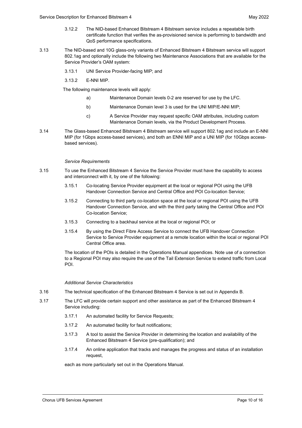- 3.12.2 The NID-based Enhanced Bitstream 4 Bitstream service includes a repeatable birth certificate function that verifies the as-provisioned service is performing to bandwidth and QoS performance specifications.
- 3.13 The NID-based and 10G glass-only variants of Enhanced Bitstream 4 Bitstream service will support 802.1ag and optionally include the following two Maintenance Associations that are available for the Service Provider's OAM system:
	- 3.13.1 UNI Service Provider-facing MIP; and
	- 3.13.2 E-NNI MIP.

The following maintenance levels will apply:

- a) Maintenance Domain levels 0-2 are reserved for use by the LFC.
- b) Maintenance Domain level 3 is used for the UNI MIP/E-NNI MIP;
- c) A Service Provider may request specific OAM attributes, including custom Maintenance Domain levels, via the Product Development Process.
- 3.14 The Glass-based Enhanced Bitstream 4 Bitstream service will support 802.1ag and include an E-NNI MIP (for 1Gbps access-based services), and both an ENNI MIP and a UNI MIP (for 10Gbps accessbased services).

# *Service Requirements*

- 3.15 To use the Enhanced Bitstream 4 Service the Service Provider must have the capability to access and interconnect with it, by one of the following:
	- 3.15.1 Co-locating Service Provider equipment at the local or regional POI using the UFB Handover Connection Service and Central Office and POI Co-location Service;
	- 3.15.2 Connecting to third party co-location space at the local or regional POI using the UFB Handover Connection Service, and with the third party taking the Central Office and POI Co-location Service;
	- 3.15.3 Connecting to a backhaul service at the local or regional POI; or
	- 3.15.4 By using the Direct Fibre Access Service to connect the UFB Handover Connection Service to Service Provider equipment at a remote location within the local or regional POI Central Office area.

The location of the POIs is detailed in the Operations Manual appendices. Note use of a connection to a Regional POI may also require the use of the Tail Extension Service to extend traffic from Local POI.

# *Additional Service Characteristics*

- 3.16 The technical specification of the Enhanced Bitstream 4 Service is set out in Appendix B.
- 3.17 The LFC will provide certain support and other assistance as part of the Enhanced Bitstream 4 Service including:
	- 3.17.1 An automated facility for Service Requests;
	- 3.17.2 An automated facility for fault notifications;
	- 3.17.3 A tool to assist the Service Provider in determining the location and availability of the Enhanced Bitstream 4 Service (pre-qualification); and
	- 3.17.4 An online application that tracks and manages the progress and status of an installation request,

each as more particularly set out in the Operations Manual.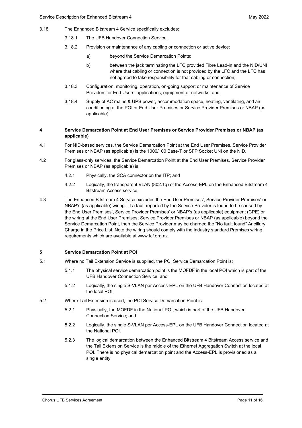- 3.18 The Enhanced Bitstream 4 Service specifically excludes:
	- 3.18.1 The UFB Handover Connection Service;
	- 3.18.2 Provision or maintenance of any cabling or connection or active device:
		- a) beyond the Service Demarcation Points;
		- b) between the jack terminating the LFC provided Fibre Lead-in and the NID/UNI where that cabling or connection is not provided by the LFC and the LFC has not agreed to take responsibility for that cabling or connection;
	- 3.18.3 Configuration, monitoring, operation, on-going support or maintenance of Service Providers' or End Users' applications, equipment or networks; and
	- 3.18.4 Supply of AC mains & UPS power, accommodation space, heating, ventilating, and air conditioning at the POI or End User Premises or Service Provider Premises or NBAP (as applicable).

# <span id="page-12-0"></span>**4 Service Demarcation Point at End User Premises or Service Provider Premises or NBAP (as applicable)**

- 4.1 For NID-based services, the Service Demarcation Point at the End User Premises, Service Provider Premises or NBAP (as applicable) is the 1000/100 Base-T or SFP Socket UNI on the NID.
- 4.2 For glass-only services, the Service Demarcation Point at the End User Premises, Service Provider Premises or NBAP (as applicable) is:
	- 4.2.1 Physically, the SCA connector on the ITP; and
	- 4.2.2 Logically, the transparent VLAN (802.1q) of the Access-EPL on the Enhanced Bitstream 4 Bitstream Access service.
- 4.3 The Enhanced Bitstream 4 Service excludes the End User Premises', Service Provider Premises' or NBAP's (as applicable) wiring. If a fault reported by the Service Provider is found to be caused by the End User Premises', Service Provider Premises' or NBAP's (as applicable) equipment (CPE) or the wiring at the End User Premises, Service Provider Premises or NBAP (as applicable) beyond the Service Demarcation Point, then the Service Provider may be charged the "No fault found" Ancillary Charge in the Price List. Note the wiring should comply with the industry standard Premises wiring requirements which are available at www.tcf.org.nz.

# <span id="page-12-1"></span>**5 Service Demarcation Point at POI**

- 5.1 Where no Tail Extension Service is supplied, the POI Service Demarcation Point is:
	- 5.1.1 The physical service demarcation point is the MOFDF in the local POI which is part of the UFB Handover Connection Service; and
	- 5.1.2 Logically, the single S-VLAN per Access-EPL on the UFB Handover Connection located at the local POI.
- 5.2 Where Tail Extension is used, the POI Service Demarcation Point is:
	- 5.2.1 Physically, the MOFDF in the National POI, which is part of the UFB Handover Connection Service; and
	- 5.2.2 Logically, the single S-VLAN per Access-EPL on the UFB Handover Connection located at the National POI.
	- 5.2.3 The logical demarcation between the Enhanced Bitstream 4 Bitstream Access service and the Tail Extension Service is the middle of the Ethernet Aggregation Switch at the local POI. There is no physical demarcation point and the Access-EPL is provisioned as a single entity.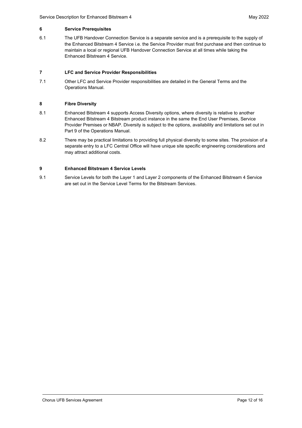# <span id="page-13-0"></span>**6 Service Prerequisites**

6.1 The UFB Handover Connection Service is a separate service and is a prerequisite to the supply of the Enhanced Bitstream 4 Service i.e. the Service Provider must first purchase and then continue to maintain a local or regional UFB Handover Connection Service at all times while taking the Enhanced Bitstream 4 Service.

# <span id="page-13-1"></span>**7 LFC and Service Provider Responsibilities**

7.1 Other LFC and Service Provider responsibilities are detailed in the General Terms and the Operations Manual.

# <span id="page-13-2"></span>**8 Fibre Diversity**

- 8.1 Enhanced Bitstream 4 supports Access Diversity options, where diversity is relative to another Enhanced Bitstream 4 Bitstream product instance in the same the End User Premises, Service Provider Premises or NBAP. Diversity is subject to the options, availability and limitations set out in Part 9 of the Operations Manual.
- 8.2 There may be practical limitations to providing full physical diversity to some sites. The provision of a separate entry to a LFC Central Office will have unique site specific engineering considerations and may attract additional costs.

# <span id="page-13-3"></span>**9 Enhanced Bitstream 4 Service Levels**

9.1 Service Levels for both the Layer 1 and Layer 2 components of the Enhanced Bitstream 4 Service are set out in the Service Level Terms for the Bitstream Services.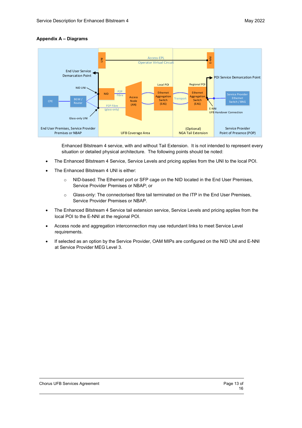# <span id="page-14-0"></span>**Appendix A – Diagrams**



Enhanced Bitstream 4 service, with and without Tail Extension. It is not intended to represent every situation or detailed physical architecture. The following points should be noted:

- The Enhanced Bitstream 4 Service, Service Levels and pricing applies from the UNI to the local POI.
- The Enhanced Bitstream 4 UNI is either:
	- o NID-based: The Ethernet port or SFP cage on the NID located in the End User Premises, Service Provider Premises or NBAP; or
	- o Glass-only: The connectorised fibre tail terminated on the ITP in the End User Premises, Service Provider Premises or NBAP.
- The Enhanced Bitstream 4 Service tail extension service, Service Levels and pricing applies from the local POI to the E-NNI at the regional POI.
- Access node and aggregation interconnection may use redundant links to meet Service Level requirements.
- If selected as an option by the Service Provider, OAM MIPs are configured on the NID UNI and E-NNI at Service Provider MEG Level 3.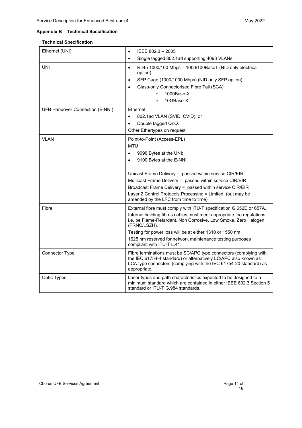# <span id="page-15-0"></span>**Appendix B – Technical Specification**

# **Technical Specification**

| Ethernet (UNI)                         | IEEE 802.3 - 2005<br>$\bullet$                                                                                                                                                                                                                                                                                                                                                           |
|----------------------------------------|------------------------------------------------------------------------------------------------------------------------------------------------------------------------------------------------------------------------------------------------------------------------------------------------------------------------------------------------------------------------------------------|
|                                        | Single tagged 802.1ad supporting 4093 VLANs<br>$\bullet$                                                                                                                                                                                                                                                                                                                                 |
| <b>UNI</b>                             | RJ45 1000/100 Mbps = 1000/100BaseT (NID only electrical<br>$\bullet$<br>option)<br>SFP Cage (1000/1000 Mbps) (NID only SFP option)<br>$\bullet$<br>Glass-only Connectorised Fibre Tail (SCA)<br>$\bullet$<br>1000Base-X<br>$\circ$<br>10GBase-X<br>$\Omega$                                                                                                                              |
| <b>UFB Handover Connection (E-NNI)</b> | Ethernet:<br>802.1ad VLAN (SVID, CVID); or<br>Double tagged QnQ.<br>Other Ethertypes on request                                                                                                                                                                                                                                                                                          |
| <b>VLAN</b>                            | Point-to-Point (Access-EPL)<br><b>MTU</b><br>9096 Bytes at the UNI;<br>9100 Bytes at the E-NNI.<br>Unicast Frame Delivery = passed within service CIR/EIR<br>Multicast Frame Delivery = passed within service CIR/EIR<br>Broadcast Frame Delivery = passed within service CIR/EIR<br>Layer 2 Control Protocols Processing = Limited (but may be<br>amended by the LFC from time to time) |
| Fibre                                  | External fibre must comply with ITU-T specification G.652D or 657A.<br>Internal building fibres cables must meet appropriate fire regulations<br>i.e. be Flame-Retardant, Non Corrosive, Low Smoke, Zero Halogen<br>(FRNC/LSZH).<br>Testing for power loss will be at either 1310 or 1550 nm<br>1625 nm reserved for network maintenance testing purposes<br>compliant with ITU-T L.41.  |
| Connector Type                         | Fibre terminations must be SC/APC type connectors (complying with<br>the IEC 61754-4 standard) or alternatively LC/APC also known as<br>LCA type connectors (complying with the IEC 61754-20 standard) as<br>appropriate.                                                                                                                                                                |
| Optic Types                            | Laser types and path characteristics expected to be designed to a<br>minimum standard which are contained in either IEEE 802.3 Section 5<br>standard or ITU-T G.984 standards.                                                                                                                                                                                                           |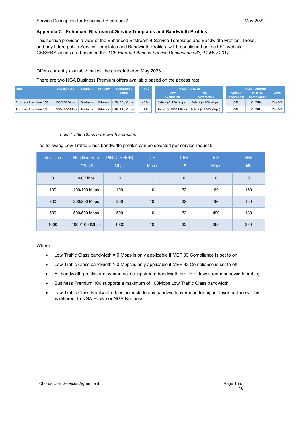# <span id="page-16-0"></span>**Appendix C –Enhanced Bitstream 4 Service Templates and Bandwidth Profiles**

This section provides a view of the Enhanced Bitstream 4 Service Templates and Bandwidth Profiles. These, and any future public Service Templates and Bandwidth Profiles, will be published on the LFC website. CBS/EBS values are based on the *TCF Ethernet Access Service Description v33, 11 May 2017.*

# Offers currently available that will be grandfathered May 2023

There are two NGA Business Premium offers available based on the access rate:

| <b>Offer</b>                | <b>Access Rate</b>      | <b>Segment</b>  | Primary | Geographic      | <b>Type</b> | <b>Headline Rate</b>       |                           |                  | <b>Other Options</b> |            |  |
|-----------------------------|-------------------------|-----------------|---------|-----------------|-------------|----------------------------|---------------------------|------------------|----------------------|------------|--|
|                             |                         |                 |         | <b>Zones</b>    |             | <b>High</b><br>Low         |                           | Colour           | <b>MEF33</b>         | <b>OAM</b> |  |
|                             |                         |                 |         |                 |             | <b>Symmetric</b>           | <b>Symmetric</b>          | <b>Awareness</b> | <b>Compliance</b>    |            |  |
| <b>Business Premium 100</b> | 100/100 Mbps            | <b>Business</b> | Priman  | UFB. RBI. Other | eBS4        | Select (0, 100 Mbps)       | Select ( $\leq 100$ Mbps) | Off              | Off/High             | On/Off     |  |
| <b>Business Premium 1G</b>  | 1000/1000 Mbps Business |                 | Priman  | UFB. RBI. Other | eBS4        | Select ( $\leq 1000$ Mbps) | Select (≤ 1000 Mbps)      | Off              | Off/High             | On/Off     |  |

#### *Low Traffic Class bandwidth selection*

The following Low Traffic Class bandwidth profiles can be selected per service request:

| Selection   | <b>Headline Rate</b><br><b>DS/US</b> | PIR (CIR+EIR)<br><b>Mbps</b> | <b>CIR</b><br><b>Mbps</b> | <b>CBS</b><br>kB | <b>EIR</b><br><b>Mbps</b> | <b>EBS</b><br>kB |
|-------------|--------------------------------------|------------------------------|---------------------------|------------------|---------------------------|------------------|
| $\mathbf 0$ | 0/0 Mbps                             | $\mathbf 0$                  | $\mathbf 0$               | $\mathbf 0$      | $\mathbf{0}$              | 0                |
| 100         | 100/100 Mbps                         | 100                          | 10                        | 32               | 90                        | 180              |
| 200         | 200/200 Mbps                         | 200                          | 10                        | 32               | 190                       | 180              |
| 500         | 500/500 Mbps                         | 500                          | 10                        | 32               | 490                       | 180              |
| 1000        | 1000/1000Mbps                        | 1000                         | 10                        | 32               | 990                       | 250              |

#### Where:

- Low Traffic Class bandwidth = 0 Mbps is only applicable if MEF 33 Compliance is set to on
- Low Traffic Class bandwidth > 0 Mbps is only applicable if MEF 33 Compliance is set to off
- All bandwidth profiles are symmetric, i.e. upstream bandwidth profile = downstream bandwidth profile;
- Business Premium 100 supports a maximum of 100Mbps Low Traffic Class bandwidth;
- Low Traffic Class Bandwidth does not include any bandwidth overhead for higher layer protocols. This is different to NGA Evolve or NGA Business.